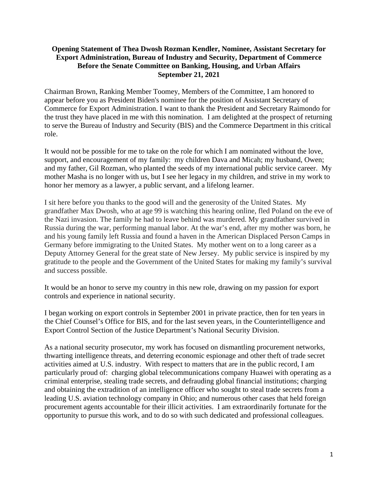## **Opening Statement of Thea Dwosh Rozman Kendler, Nominee, Assistant Secretary for Export Administration, Bureau of Industry and Security, Department of Commerce Before the Senate Committee on Banking, Housing, and Urban Affairs September 21, 2021**

Chairman Brown, Ranking Member Toomey, Members of the Committee, I am honored to appear before you as President Biden's nominee for the position of Assistant Secretary of Commerce for Export Administration. I want to thank the President and Secretary Raimondo for the trust they have placed in me with this nomination. I am delighted at the prospect of returning to serve the Bureau of Industry and Security (BIS) and the Commerce Department in this critical role.

It would not be possible for me to take on the role for which I am nominated without the love, support, and encouragement of my family: my children Dava and Micah; my husband, Owen; and my father, Gil Rozman, who planted the seeds of my international public service career. My mother Masha is no longer with us, but I see her legacy in my children, and strive in my work to honor her memory as a lawyer, a public servant, and a lifelong learner.

I sit here before you thanks to the good will and the generosity of the United States. My grandfather Max Dwosh, who at age 99 is watching this hearing online, fled Poland on the eve of the Nazi invasion. The family he had to leave behind was murdered. My grandfather survived in Russia during the war, performing manual labor. At the war's end, after my mother was born, he and his young family left Russia and found a haven in the American Displaced Person Camps in Germany before immigrating to the United States. My mother went on to a long career as a Deputy Attorney General for the great state of New Jersey. My public service is inspired by my gratitude to the people and the Government of the United States for making my family's survival and success possible.

It would be an honor to serve my country in this new role, drawing on my passion for export controls and experience in national security.

I began working on export controls in September 2001 in private practice, then for ten years in the Chief Counsel's Office for BIS, and for the last seven years, in the Counterintelligence and Export Control Section of the Justice Department's National Security Division.

As a national security prosecutor, my work has focused on dismantling procurement networks, thwarting intelligence threats, and deterring economic espionage and other theft of trade secret activities aimed at U.S. industry. With respect to matters that are in the public record, I am particularly proud of: charging global telecommunications company Huawei with operating as a criminal enterprise, stealing trade secrets, and defrauding global financial institutions; charging and obtaining the extradition of an intelligence officer who sought to steal trade secrets from a leading U.S. aviation technology company in Ohio; and numerous other cases that held foreign procurement agents accountable for their illicit activities. I am extraordinarily fortunate for the opportunity to pursue this work, and to do so with such dedicated and professional colleagues.